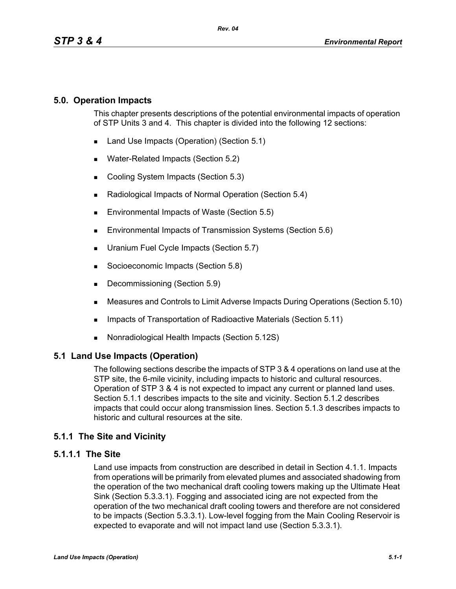# **5.0. Operation Impacts**

This chapter presents descriptions of the potential environmental impacts of operation of STP Units 3 and 4. This chapter is divided into the following 12 sections:

- Land Use Impacts (Operation) (Section 5.1)
- **Water-Related Impacts (Section 5.2)**
- Cooling System Impacts (Section 5.3)
- Radiological Impacts of Normal Operation (Section 5.4)
- **Environmental Impacts of Waste (Section 5.5)**
- **Environmental Impacts of Transmission Systems (Section 5.6)**
- **Uranium Fuel Cycle Impacts (Section 5.7)**
- Socioeconomic Impacts (Section 5.8)
- Decommissioning (Section 5.9)
- Measures and Controls to Limit Adverse Impacts During Operations (Section 5.10)
- **IMPACTER 15 Impacts of Transportation of Radioactive Materials (Section 5.11)**
- Nonradiological Health Impacts (Section 5.12S)

### **5.1 Land Use Impacts (Operation)**

The following sections describe the impacts of STP 3 & 4 operations on land use at the STP site, the 6-mile vicinity, including impacts to historic and cultural resources. Operation of STP 3 & 4 is not expected to impact any current or planned land uses. Section 5.1.1 describes impacts to the site and vicinity. Section 5.1.2 describes impacts that could occur along transmission lines. Section 5.1.3 describes impacts to historic and cultural resources at the site.

# **5.1.1 The Site and Vicinity**

### **5.1.1.1 The Site**

Land use impacts from construction are described in detail in Section 4.1.1. Impacts from operations will be primarily from elevated plumes and associated shadowing from the operation of the two mechanical draft cooling towers making up the Ultimate Heat Sink (Section 5.3.3.1). Fogging and associated icing are not expected from the operation of the two mechanical draft cooling towers and therefore are not considered to be impacts (Section 5.3.3.1). Low-level fogging from the Main Cooling Reservoir is expected to evaporate and will not impact land use (Section 5.3.3.1).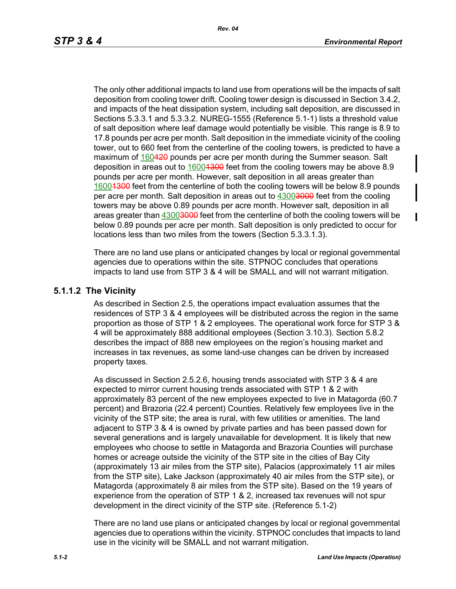The only other additional impacts to land use from operations will be the impacts of salt deposition from cooling tower drift. Cooling tower design is discussed in Section 3.4.2, and impacts of the heat dissipation system, including salt deposition, are discussed in Sections 5.3.3.1 and 5.3.3.2. NUREG-1555 (Reference 5.1-1) lists a threshold value of salt deposition where leaf damage would potentially be visible. This range is 8.9 to 17.8 pounds per acre per month. Salt deposition in the immediate vicinity of the cooling tower, out to 660 feet from the centerline of the cooling towers, is predicted to have a maximum of 160420 pounds per acre per month during the Summer season. Salt deposition in areas out to  $16001300$  feet from the cooling towers may be above 8.9 pounds per acre per month. However, salt deposition in all areas greater than 16004300 feet from the centerline of both the cooling towers will be below 8.9 pounds per acre per month. Salt deposition in areas out to 43003000 feet from the cooling towers may be above 0.89 pounds per acre month. However salt, deposition in all areas greater than 43003000 feet from the centerline of both the cooling towers will be below 0.89 pounds per acre per month. Salt deposition is only predicted to occur for locations less than two miles from the towers (Section 5.3.3.1.3).

There are no land use plans or anticipated changes by local or regional governmental agencies due to operations within the site. STPNOC concludes that operations impacts to land use from STP 3 & 4 will be SMALL and will not warrant mitigation.

### **5.1.1.2 The Vicinity**

As described in Section 2.5, the operations impact evaluation assumes that the residences of STP 3 & 4 employees will be distributed across the region in the same proportion as those of STP 1 & 2 employees. The operational work force for STP 3 & 4 will be approximately 888 additional employees (Section 3.10.3). Section 5.8.2 describes the impact of 888 new employees on the region's housing market and increases in tax revenues, as some land-use changes can be driven by increased property taxes.

As discussed in Section 2.5.2.6, housing trends associated with STP 3 & 4 are expected to mirror current housing trends associated with STP 1 & 2 with approximately 83 percent of the new employees expected to live in Matagorda (60.7 percent) and Brazoria (22.4 percent) Counties. Relatively few employees live in the vicinity of the STP site; the area is rural, with few utilities or amenities. The land adjacent to STP 3 & 4 is owned by private parties and has been passed down for several generations and is largely unavailable for development. It is likely that new employees who choose to settle in Matagorda and Brazoria Counties will purchase homes or acreage outside the vicinity of the STP site in the cities of Bay City (approximately 13 air miles from the STP site), Palacios (approximately 11 air miles from the STP site), Lake Jackson (approximately 40 air miles from the STP site), or Matagorda (approximately 8 air miles from the STP site). Based on the 19 years of experience from the operation of STP 1 & 2, increased tax revenues will not spur development in the direct vicinity of the STP site. (Reference 5.1-2)

There are no land use plans or anticipated changes by local or regional governmental agencies due to operations within the vicinity. STPNOC concludes that impacts to land use in the vicinity will be SMALL and not warrant mitigation.